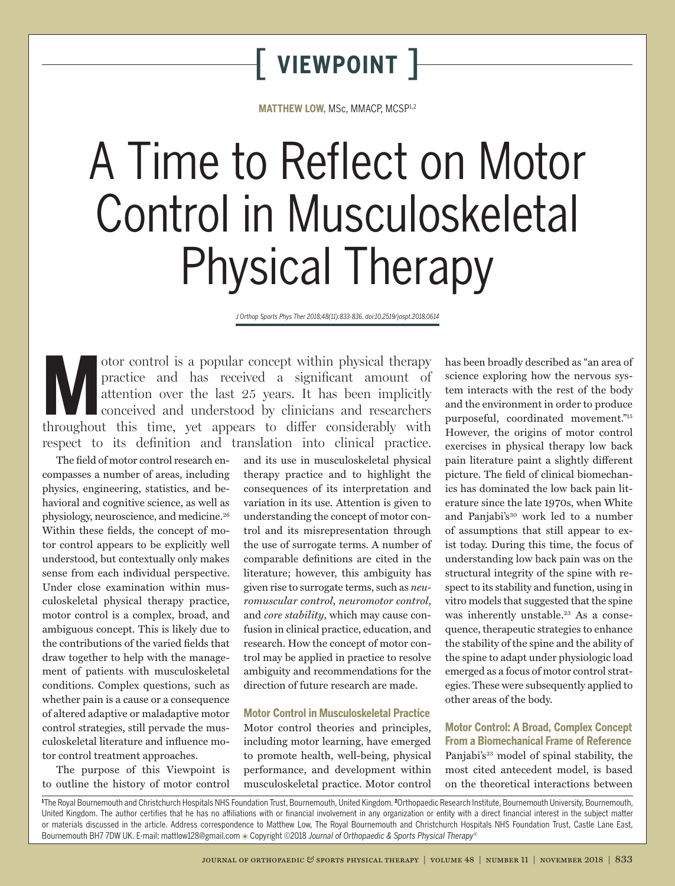## [ **viewpoint** ]

**MATTHEW LOW,** MSc, MMACP, MCSP1,2

# A Time to Reflect on Motor Control in Musculoskeletal Physical Therapy

*J Orthop Sports Phys Ther 2018;48(11):833-836. doi:10.2519/jospt.2018.0614*

otor control is a popular concept within physical therapy<br>practice and has received a significant amount of<br>attention over the last 25 years. It has been implicitly<br>conceived and understood by clinicians and researchers<br>th practice and has received a significant amount of attention over the last 25 years. It has been implicitly conceived and understood by clinicians and researchers throughout this time, yet appears to differ considerably with respect to its definition and translation into clinical practice.

The field of motor control research encompasses a number of areas, including physics, engineering, statistics, and behavioral and cognitive science, as well as physiology, neuroscience, and medicine.26 Within these fields, the concept of motor control appears to be explicitly well understood, but contextually only makes sense from each individual perspective. Under close examination within musculoskeletal physical therapy practice, motor control is a complex, broad, and ambiguous concept. This is likely due to the contributions of the varied fields that draw together to help with the management of patients with musculoskeletal conditions. Complex questions, such as whether pain is a cause or a consequence of altered adaptive or maladaptive motor control strategies, still pervade the musculoskeletal literature and influence motor control treatment approaches.

The purpose of this Viewpoint is to outline the history of motor control and its use in musculoskeletal physical therapy practice and to highlight the consequences of its interpretation and variation in its use. Attention is given to understanding the concept of motor control and its misrepresentation through the use of surrogate terms. A number of comparable definitions are cited in the literature; however, this ambiguity has given rise to surrogate terms, such as *neuromuscular control*, *neuromotor control*, and *core stability*, which may cause confusion in clinical practice, education, and research. How the concept of motor control may be applied in practice to resolve ambiguity and recommendations for the direction of future research are made.

#### **Motor Control in Musculoskeletal Practice**

Motor control theories and principles, including motor learning, have emerged to promote health, well-being, physical performance, and development within musculoskeletal practice. Motor control has been broadly described as "an area of science exploring how the nervous system interacts with the rest of the body and the environment in order to produce purposeful, coordinated movement."15 However, the origins of motor control exercises in physical therapy low back pain literature paint a slightly different picture. The field of clinical biomechanics has dominated the low back pain literature since the late 1970s, when White and Panjabi's<sup>30</sup> work led to a number of assumptions that still appear to exist today. During this time, the focus of understanding low back pain was on the structural integrity of the spine with respect to its stability and function, using in vitro models that suggested that the spine was inherently unstable.<sup>23</sup> As a consequence, therapeutic strategies to enhance the stability of the spine and the ability of the spine to adapt under physiologic load emerged as a focus of motor control strategies. These were subsequently applied to other areas of the body.

**Motor Control: A Broad, Complex Concept From a Biomechanical Frame of Reference** Panjabi's<sup>23</sup> model of spinal stability, the most cited antecedent model, is based on the theoretical interactions between

1 The Royal Bournemouth and Christchurch Hospitals NHS Foundation Trust, Bournemouth, United Kingdom. <sup>2</sup> Orthopaedic Research Institute, Bournemouth University, Bournemouth, United Kingdom. The author certifies that he has no affiliations with or financial involvement in any organization or entity with a direct financial interest in the subject matter or materials discussed in the article. Address correspondence to Matthew Low, The Royal Bournemouth and Christchurch Hospitals NHS Foundation Trust, Castle Lane East, Bournemouth BH7 7DW UK. E-mail: mattlow128@gmail.com @ Copyright ©2018 *Journal of Orthopaedic & Sports Physical Therapy®*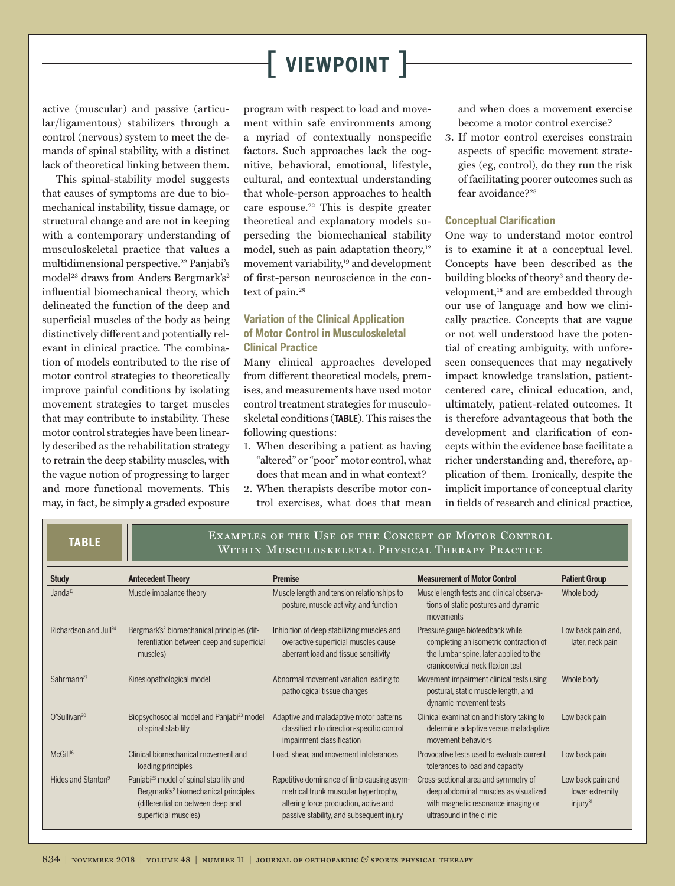### [ **viewpoint** ]

active (muscular) and passive (articular/ligamentous) stabilizers through a control (nervous) system to meet the demands of spinal stability, with a distinct lack of theoretical linking between them.

This spinal-stability model suggests that causes of symptoms are due to biomechanical instability, tissue damage, or structural change and are not in keeping with a contemporary understanding of musculoskeletal practice that values a multidimensional perspective.<sup>22</sup> Panjabi's model<sup>23</sup> draws from Anders Bergmark's<sup>2</sup> influential biomechanical theory, which delineated the function of the deep and superficial muscles of the body as being distinctively different and potentially relevant in clinical practice. The combination of models contributed to the rise of motor control strategies to theoretically improve painful conditions by isolating movement strategies to target muscles that may contribute to instability. These motor control strategies have been linearly described as the rehabilitation strategy to retrain the deep stability muscles, with the vague notion of progressing to larger and more functional movements. This may, in fact, be simply a graded exposure

program with respect to load and movement within safe environments among a myriad of contextually nonspecific factors. Such approaches lack the cognitive, behavioral, emotional, lifestyle, cultural, and contextual understanding that whole-person approaches to health care espouse.22 This is despite greater theoretical and explanatory models superseding the biomechanical stability model, such as pain adaptation theory, $12$ movement variability,19 and development of first-person neuroscience in the context of pain.<sup>29</sup>

#### **Variation of the Clinical Application of Motor Control in Musculoskeletal Clinical Practice**

Many clinical approaches developed from different theoretical models, premises, and measurements have used motor control treatment strategies for musculoskeletal conditions (**TABLE**). This raises the following questions:

- 1. When describing a patient as having "altered" or "poor" motor control, what does that mean and in what context?
- 2. When therapists describe motor control exercises, what does that mean

**EXAMPLES OF THE USE OF THE CONCEPT OF MOTOR CONTROL** 

and when does a movement exercise become a motor control exercise?

3. If motor control exercises constrain aspects of specific movement strategies (eg, control), do they run the risk of facilitating poorer outcomes such as fear avoidance?28

#### **Conceptual Clarification**

One way to understand motor control is to examine it at a conceptual level. Concepts have been described as the building blocks of theory<sup>3</sup> and theory development,18 and are embedded through our use of language and how we clinically practice. Concepts that are vague or not well understood have the potential of creating ambiguity, with unforeseen consequences that may negatively impact knowledge translation, patientcentered care, clinical education, and, ultimately, patient-related outcomes. It is therefore advantageous that both the development and clarification of concepts within the evidence base facilitate a richer understanding and, therefore, application of them. Ironically, despite the implicit importance of conceptual clarity in fields of research and clinical practice,

| IABLE                             | WITHIN MUSCULOSKELETAL PHYSICAL THERAPY PRACTICE                                                                                                                     |                                                                                                                                                                         |                                                                                                                                                          |                                                              |
|-----------------------------------|----------------------------------------------------------------------------------------------------------------------------------------------------------------------|-------------------------------------------------------------------------------------------------------------------------------------------------------------------------|----------------------------------------------------------------------------------------------------------------------------------------------------------|--------------------------------------------------------------|
| <b>Study</b>                      | <b>Antecedent Theory</b>                                                                                                                                             | <b>Premise</b>                                                                                                                                                          | <b>Measurement of Motor Control</b>                                                                                                                      | <b>Patient Group</b>                                         |
| Janda $13$                        | Muscle imbalance theory                                                                                                                                              | Muscle length and tension relationships to<br>posture, muscle activity, and function                                                                                    | Muscle length tests and clinical observa-<br>tions of static postures and dynamic<br>movements                                                           | Whole body                                                   |
| Richardson and Jull <sup>24</sup> | Bergmark's <sup>2</sup> biomechanical principles (dif-<br>ferentiation between deep and superficial<br>muscles)                                                      | Inhibition of deep stabilizing muscles and<br>overactive superficial muscles cause<br>aberrant load and tissue sensitivity                                              | Pressure gauge biofeedback while<br>completing an isometric contraction of<br>the lumbar spine, later applied to the<br>craniocervical neck flexion test | Low back pain and,<br>later, neck pain                       |
| Sahrmann <sup>27</sup>            | Kinesiopathological model                                                                                                                                            | Abnormal movement variation leading to<br>pathological tissue changes                                                                                                   | Movement impairment clinical tests using<br>postural, static muscle length, and<br>dynamic movement tests                                                | Whole body                                                   |
| O'Sullivan <sup>20</sup>          | Biopsychosocial model and Panjabi <sup>23</sup> model<br>of spinal stability                                                                                         | Adaptive and maladaptive motor patterns<br>classified into direction-specific control<br>impairment classification                                                      | Clinical examination and history taking to<br>determine adaptive versus maladaptive<br>movement behaviors                                                | Low back pain                                                |
| McGill <sup>16</sup>              | Clinical biomechanical movement and<br>loading principles                                                                                                            | Load, shear, and movement intolerances                                                                                                                                  | Provocative tests used to evaluate current<br>tolerances to load and capacity                                                                            | Low back pain                                                |
| Hides and Stanton <sup>9</sup>    | Panjabi <sup>23</sup> model of spinal stability and<br>Bergmark's <sup>2</sup> biomechanical principles<br>(differentiation between deep and<br>superficial muscles) | Repetitive dominance of limb causing asym-<br>metrical trunk muscular hypertrophy,<br>altering force production, active and<br>passive stability, and subsequent injury | Cross-sectional area and symmetry of<br>deep abdominal muscles as visualized<br>with magnetic resonance imaging or<br>ultrasound in the clinic           | Low back pain and<br>lower extremity<br>injury <sup>31</sup> |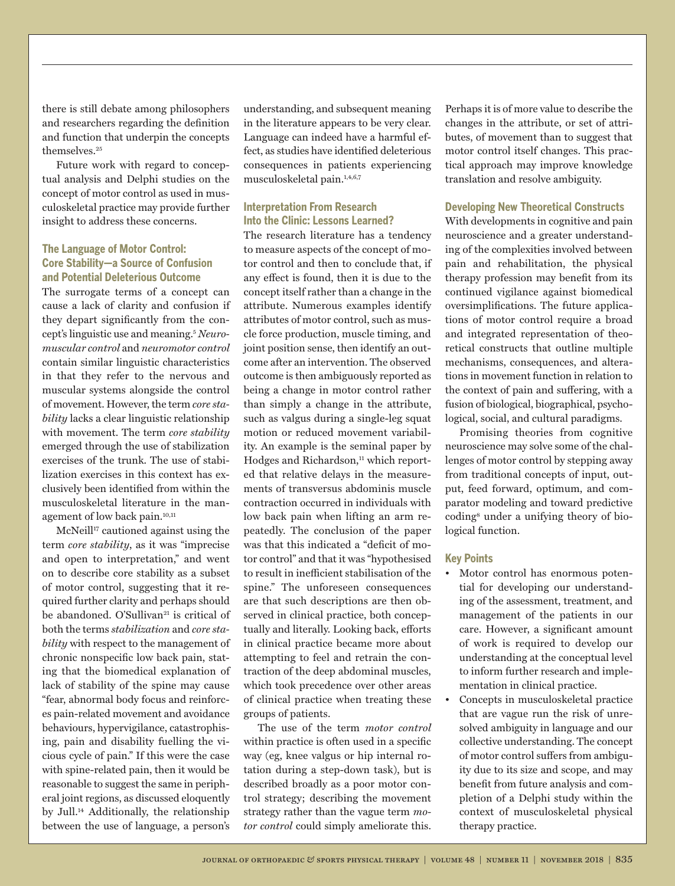there is still debate among philosophers and researchers regarding the definition and function that underpin the concepts themselves.25

Future work with regard to conceptual analysis and Delphi studies on the concept of motor control as used in musculoskeletal practice may provide further insight to address these concerns.

#### **The Language of Motor Control: Core Stability—a Source of Confusion and Potential Deleterious Outcome**

The surrogate terms of a concept can cause a lack of clarity and confusion if they depart significantly from the concept's linguistic use and meaning.5 *Neuromuscular control* and *neuromotor control* contain similar linguistic characteristics in that they refer to the nervous and muscular systems alongside the control of movement. However, the term *core stability* lacks a clear linguistic relationship with movement. The term *core stability* emerged through the use of stabilization exercises of the trunk. The use of stabilization exercises in this context has exclusively been identified from within the musculoskeletal literature in the management of low back pain.<sup>10,11</sup>

McNeill<sup>17</sup> cautioned against using the term *core stability*, as it was "imprecise and open to interpretation," and went on to describe core stability as a subset of motor control, suggesting that it required further clarity and perhaps should be abandoned.  $O'Sullivan<sup>21</sup>$  is critical of both the terms *stabilization* and *core stability* with respect to the management of chronic nonspecific low back pain, stating that the biomedical explanation of lack of stability of the spine may cause "fear, abnormal body focus and reinforces pain-related movement and avoidance behaviours, hypervigilance, catastrophising, pain and disability fuelling the vicious cycle of pain." If this were the case with spine-related pain, then it would be reasonable to suggest the same in peripheral joint regions, as discussed eloquently by Jull.14 Additionally, the relationship between the use of language, a person's

understanding, and subsequent meaning in the literature appears to be very clear. Language can indeed have a harmful effect, as studies have identified deleterious consequences in patients experiencing musculoskeletal pain.1,4,6,7

#### **Interpretation From Research Into the Clinic: Lessons Learned?**

The research literature has a tendency to measure aspects of the concept of motor control and then to conclude that, if any effect is found, then it is due to the concept itself rather than a change in the attribute. Numerous examples identify attributes of motor control, such as muscle force production, muscle timing, and joint position sense, then identify an outcome after an intervention. The observed outcome is then ambiguously reported as being a change in motor control rather than simply a change in the attribute, such as valgus during a single-leg squat motion or reduced movement variability. An example is the seminal paper by Hodges and Richardson,<sup>11</sup> which reported that relative delays in the measurements of transversus abdominis muscle contraction occurred in individuals with low back pain when lifting an arm repeatedly. The conclusion of the paper was that this indicated a "deficit of motor control" and that it was "hypothesised to result in inefficient stabilisation of the spine." The unforeseen consequences are that such descriptions are then observed in clinical practice, both conceptually and literally. Looking back, efforts in clinical practice became more about attempting to feel and retrain the contraction of the deep abdominal muscles, which took precedence over other areas of clinical practice when treating these groups of patients.

The use of the term *motor control* within practice is often used in a specific way (eg, knee valgus or hip internal rotation during a step-down task), but is described broadly as a poor motor control strategy; describing the movement strategy rather than the vague term *motor control* could simply ameliorate this.

Perhaps it is of more value to describe the changes in the attribute, or set of attributes, of movement than to suggest that motor control itself changes. This practical approach may improve knowledge translation and resolve ambiguity.

#### **Developing New Theoretical Constructs**

With developments in cognitive and pain neuroscience and a greater understanding of the complexities involved between pain and rehabilitation, the physical therapy profession may benefit from its continued vigilance against biomedical oversimplifications. The future applications of motor control require a broad and integrated representation of theoretical constructs that outline multiple mechanisms, consequences, and alterations in movement function in relation to the context of pain and suffering, with a fusion of biological, biographical, psychological, social, and cultural paradigms.

Promising theories from cognitive neuroscience may solve some of the challenges of motor control by stepping away from traditional concepts of input, output, feed forward, optimum, and comparator modeling and toward predictive coding8 under a unifying theory of biological function.

#### **Key Points**

- Motor control has enormous potential for developing our understanding of the assessment, treatment, and management of the patients in our care. However, a significant amount of work is required to develop our understanding at the conceptual level to inform further research and implementation in clinical practice.
- Concepts in musculoskeletal practice that are vague run the risk of unresolved ambiguity in language and our collective understanding. The concept of motor control suffers from ambiguity due to its size and scope, and may benefit from future analysis and completion of a Delphi study within the context of musculoskeletal physical therapy practice.